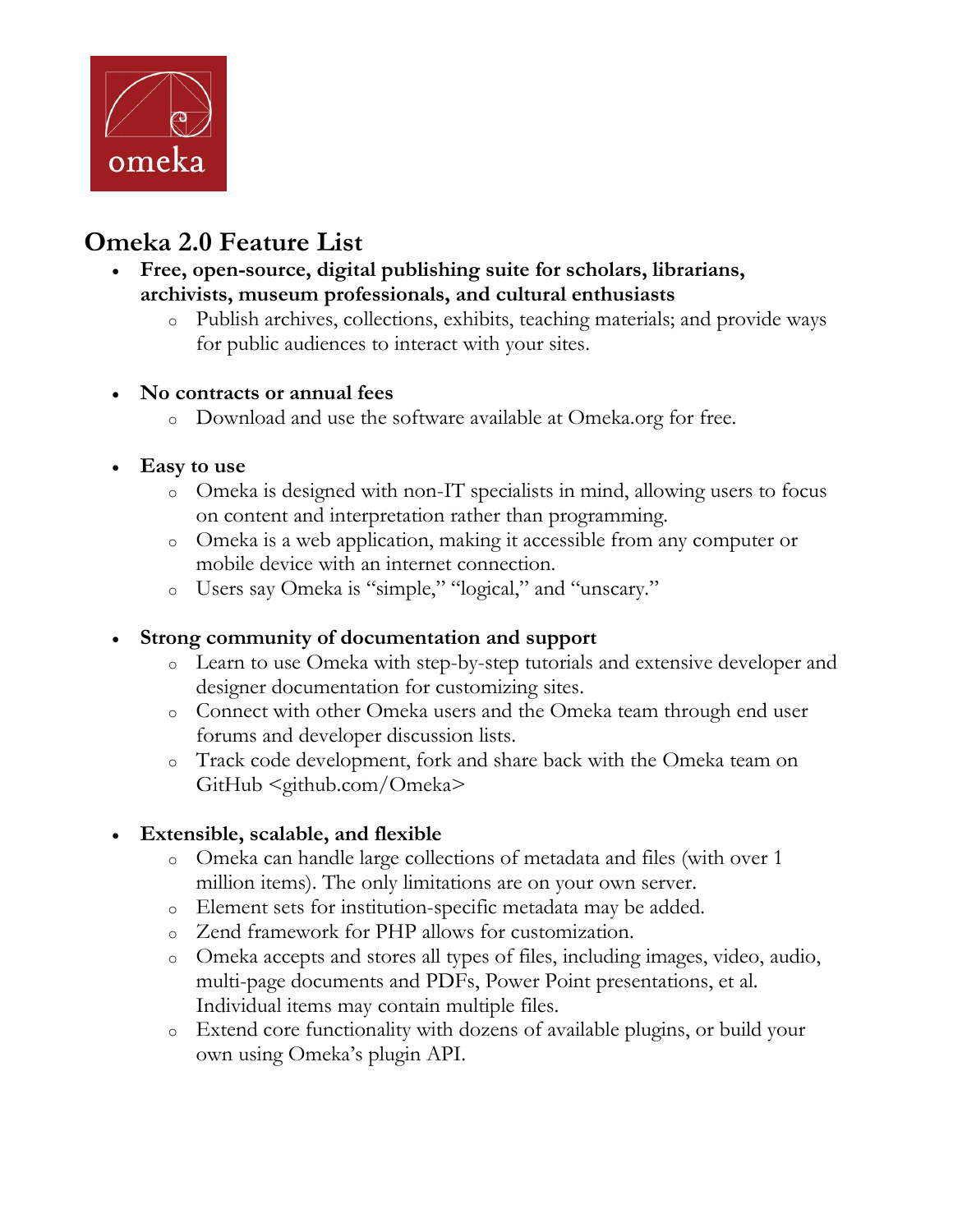

# **Omeka 2.0 Feature List**

- **Free, open-source, digital publishing suite for scholars, librarians, archivists, museum professionals, and cultural enthusiasts** 
	- o Publish archives, collections, exhibits, teaching materials; and provide ways for public audiences to interact with your sites.

#### **No contracts or annual fees**

o Download and use the software available at Omeka.org for free.

#### **Easy to use**

- o Omeka is designed with non-IT specialists in mind, allowing users to focus on content and interpretation rather than programming.
- o Omeka is a web application, making it accessible from any computer or mobile device with an internet connection.
- o Users say Omeka is "simple," "logical," and "unscary."

#### **Strong community of documentation and support**

- o Learn to use Omeka with step-by-step tutorials and extensive developer and designer documentation for customizing sites.
- o Connect with other Omeka users and the Omeka team through end user forums and developer discussion lists.
- o Track code development, fork and share back with the Omeka team on GitHub <github.com/Omeka>

#### **Extensible, scalable, and flexible**

- o Omeka can handle large collections of metadata and files (with over 1 million items). The only limitations are on your own server.
- o Element sets for institution-specific metadata may be added.
- o Zend framework for PHP allows for customization.
- o Omeka accepts and stores all types of files, including images, video, audio, multi-page documents and PDFs, Power Point presentations, et al. Individual items may contain multiple files.
- o Extend core functionality with dozens of available plugins, or build your own using Omeka's plugin API.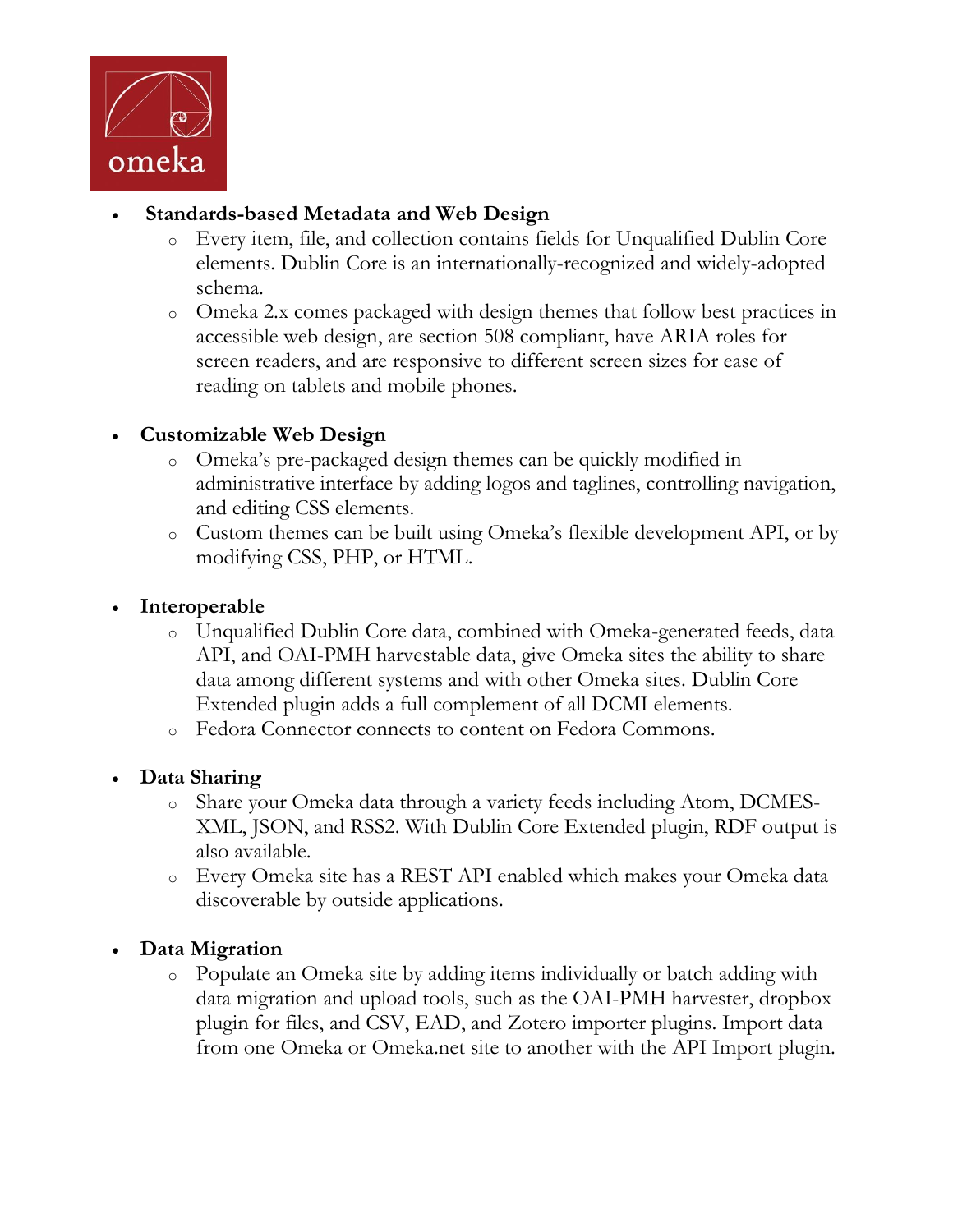

#### **Standards-based Metadata and Web Design**

- o Every item, file, and collection contains fields for Unqualified Dublin Core elements. Dublin Core is an internationally-recognized and widely-adopted schema.
- o Omeka 2.x comes packaged with design themes that follow best practices in accessible web design, are section 508 compliant, have ARIA roles for screen readers, and are responsive to different screen sizes for ease of reading on tablets and mobile phones.

### **Customizable Web Design**

- o Omeka's pre-packaged design themes can be quickly modified in administrative interface by adding logos and taglines, controlling navigation, and editing CSS elements.
- o Custom themes can be built using Omeka's flexible development API, or by modifying CSS, PHP, or HTML.

#### **Interoperable**

- o Unqualified Dublin Core data, combined with Omeka-generated feeds, data API, and OAI-PMH harvestable data, give Omeka sites the ability to share data among different systems and with other Omeka sites. Dublin Core Extended plugin adds a full complement of all DCMI elements.
- o Fedora Connector connects to content on Fedora Commons.

#### **Data Sharing**

- o Share your Omeka data through a variety feeds including Atom, DCMES-XML, JSON, and RSS2. With Dublin Core Extended plugin, RDF output is also available.
- o Every Omeka site has a REST API enabled which makes your Omeka data discoverable by outside applications.

## **Data Migration**

o Populate an Omeka site by adding items individually or batch adding with data migration and upload tools, such as the OAI-PMH harvester, dropbox plugin for files, and CSV, EAD, and Zotero importer plugins. Import data from one Omeka or Omeka.net site to another with the API Import plugin.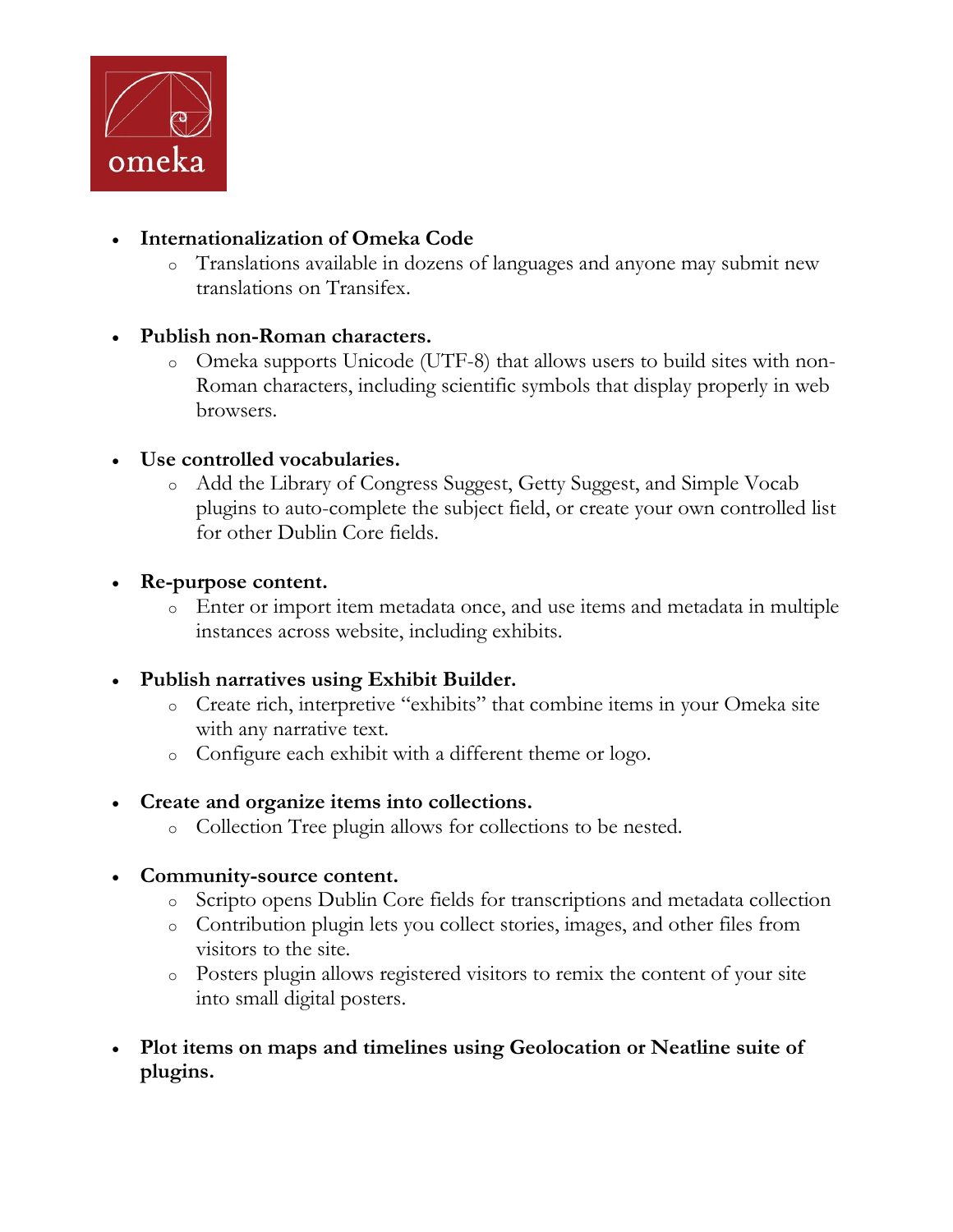

#### **Internationalization of Omeka Code**

- o Translations available in dozens of languages and anyone may submit new translations on Transifex.
- **Publish non-Roman characters.**
	- o Omeka supports Unicode (UTF-8) that allows users to build sites with non-Roman characters, including scientific symbols that display properly in web browsers.
- **Use controlled vocabularies.**
	- o Add the Library of Congress Suggest, Getty Suggest, and Simple Vocab plugins to auto-complete the subject field, or create your own controlled list for other Dublin Core fields.
- **Re-purpose content.**
	- o Enter or import item metadata once, and use items and metadata in multiple instances across website, including exhibits.
- **Publish narratives using Exhibit Builder.**
	- o Create rich, interpretive "exhibits" that combine items in your Omeka site with any narrative text.
	- o Configure each exhibit with a different theme or logo.
- **Create and organize items into collections.**
	- o Collection Tree plugin allows for collections to be nested.

#### **Community-source content.**

- o Scripto opens Dublin Core fields for transcriptions and metadata collection
- o Contribution plugin lets you collect stories, images, and other files from visitors to the site.
- o Posters plugin allows registered visitors to remix the content of your site into small digital posters.
- **Plot items on maps and timelines using Geolocation or Neatline suite of plugins.**